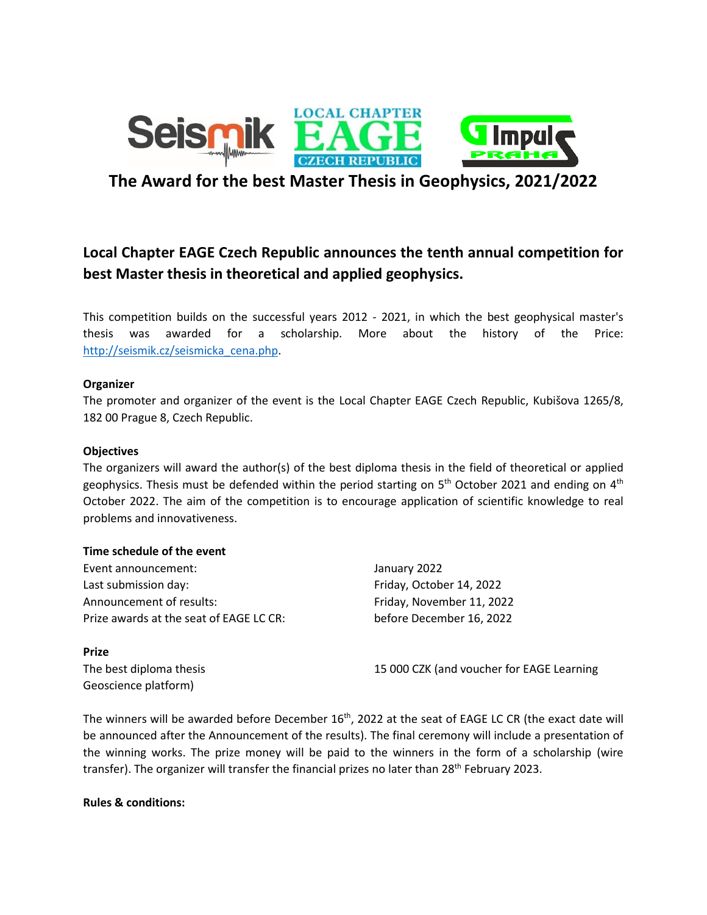

## **The Award for the best Master Thesis in Geophysics, 2021/2022**

# **Local Chapter EAGE Czech Republic announces the tenth annual competition for best Master thesis in theoretical and applied geophysics.**

This competition builds on the successful years 2012 - 2021, in which the best geophysical master's thesis was awarded for a scholarship. More about the history of the Price: [http://seismik.cz/seismicka\\_cena.php.](http://seismik.cz/seismicka_cena.php)

## **Organizer**

The promoter and organizer of the event is the Local Chapter EAGE Czech Republic, Kubišova 1265/8, 182 00 Prague 8, Czech Republic.

#### **Objectives**

The organizers will award the author(s) of the best diploma thesis in the field of theoretical or applied geophysics. Thesis must be defended within the period starting on 5<sup>th</sup> October 2021 and ending on 4<sup>th</sup> October 2022. The aim of the competition is to encourage application of scientific knowledge to real problems and innovativeness.

#### **Time schedule of the event**

Event announcement: January 2022 Last submission day: The Contract of the Friday, October 14, 2022 Announcement of results: Friday, November 11, 2022 Prize awards at the seat of EAGE LC CR: before December 16, 2022

**Prize**

Geoscience platform)

The best diploma thesis 15 000 CZK (and voucher for EAGE Learning

The winners will be awarded before December  $16<sup>th</sup>$ , 2022 at the seat of EAGE LC CR (the exact date will be announced after the Announcement of the results). The final ceremony will include a presentation of the winning works. The prize money will be paid to the winners in the form of a scholarship (wire transfer). The organizer will transfer the financial prizes no later than 28<sup>th</sup> February 2023.

**Rules & conditions:**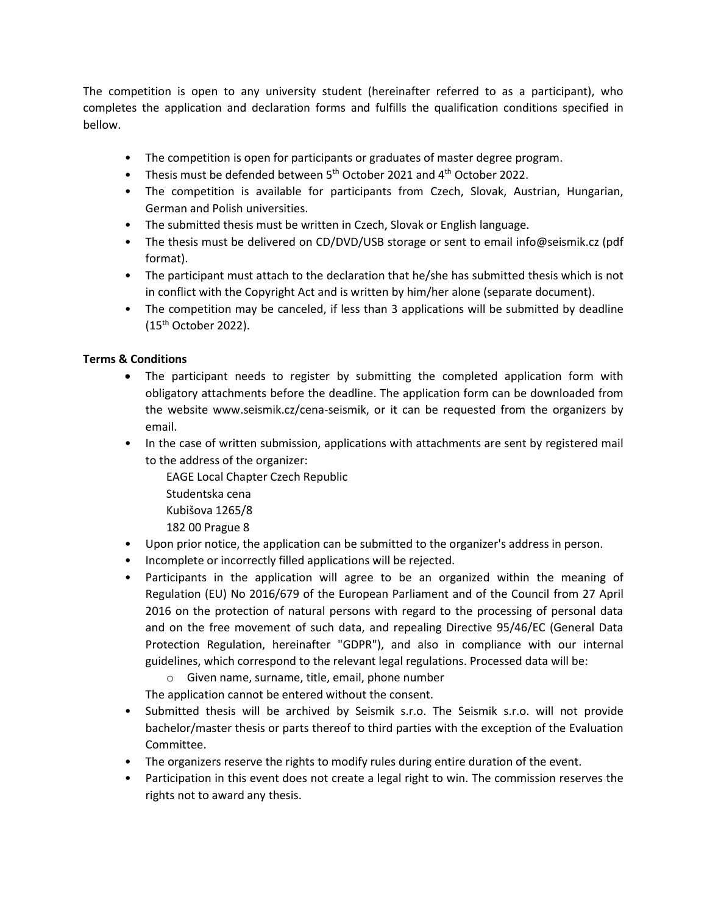The competition is open to any university student (hereinafter referred to as a participant), who completes the application and declaration forms and fulfills the qualification conditions specified in bellow.

- The competition is open for participants or graduates of master degree program.
- Thesis must be defended between 5<sup>th</sup> October 2021 and 4<sup>th</sup> October 2022.
- The competition is available for participants from Czech, Slovak, Austrian, Hungarian, German and Polish universities.
- The submitted thesis must be written in Czech, Slovak or English language.
- The thesis must be delivered on CD/DVD/USB storage or sent to email info@seismik.cz (pdf format).
- The participant must attach to the declaration that he/she has submitted thesis which is not in conflict with the Copyright Act and is written by him/her alone (separate document).
- The competition may be canceled, if less than 3 applications will be submitted by deadline (15 th October 2022).

## **Terms & Conditions**

- The participant needs to register by submitting the completed application form with obligatory attachments before the deadline. The application form can be downloaded from the website www.seismik.cz/cena-seismik, or it can be requested from the organizers by email.
- In the case of written submission, applications with attachments are sent by registered mail to the address of the organizer:

EAGE Local Chapter Czech Republic

- Studentska cena
- Kubišova 1265/8
- 182 00 Prague 8
- Upon prior notice, the application can be submitted to the organizer's address in person.
- Incomplete or incorrectly filled applications will be rejected.
- Participants in the application will agree to be an organized within the meaning of Regulation (EU) No 2016/679 of the European Parliament and of the Council from 27 April 2016 on the protection of natural persons with regard to the processing of personal data and on the free movement of such data, and repealing Directive 95/46/EC (General Data Protection Regulation, hereinafter "GDPR"), and also in compliance with our internal guidelines, which correspond to the relevant legal regulations. Processed data will be:

o Given name, surname, title, email, phone number

The application cannot be entered without the consent.

- Submitted thesis will be archived by Seismik s.r.o. The Seismik s.r.o. will not provide bachelor/master thesis or parts thereof to third parties with the exception of the Evaluation Committee.
- The organizers reserve the rights to modify rules during entire duration of the event.
- Participation in this event does not create a legal right to win. The commission reserves the rights not to award any thesis.